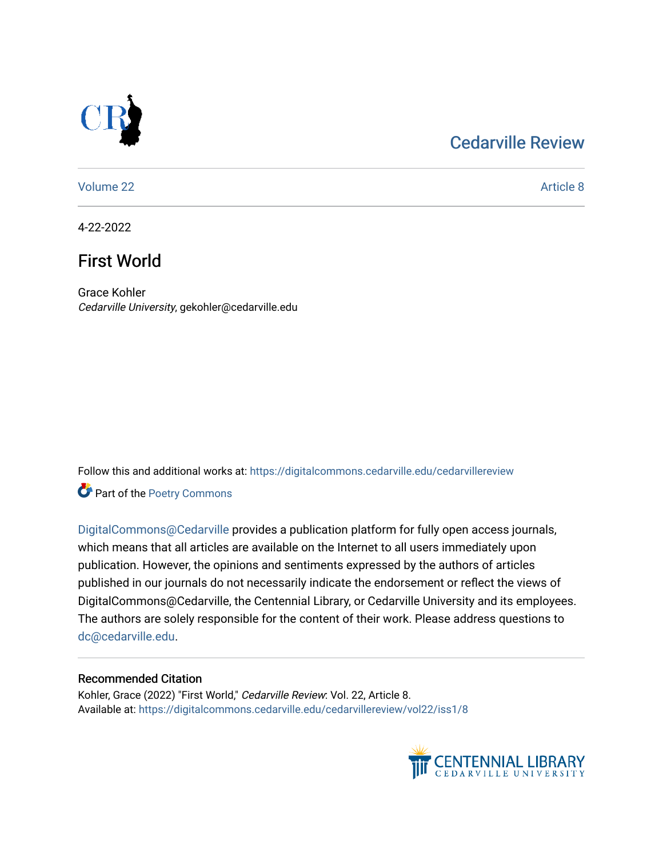## [Cedarville Review](https://digitalcommons.cedarville.edu/cedarvillereview)



[Volume 22](https://digitalcommons.cedarville.edu/cedarvillereview/vol22) Article 8

4-22-2022

# First World

Grace Kohler Cedarville University, gekohler@cedarville.edu

Follow this and additional works at: [https://digitalcommons.cedarville.edu/cedarvillereview](https://digitalcommons.cedarville.edu/cedarvillereview?utm_source=digitalcommons.cedarville.edu%2Fcedarvillereview%2Fvol22%2Fiss1%2F8&utm_medium=PDF&utm_campaign=PDFCoverPages) 

Part of the [Poetry Commons](http://network.bepress.com/hgg/discipline/1153?utm_source=digitalcommons.cedarville.edu%2Fcedarvillereview%2Fvol22%2Fiss1%2F8&utm_medium=PDF&utm_campaign=PDFCoverPages) 

[DigitalCommons@Cedarville](http://digitalcommons.cedarville.edu/) provides a publication platform for fully open access journals, which means that all articles are available on the Internet to all users immediately upon publication. However, the opinions and sentiments expressed by the authors of articles published in our journals do not necessarily indicate the endorsement or reflect the views of DigitalCommons@Cedarville, the Centennial Library, or Cedarville University and its employees. The authors are solely responsible for the content of their work. Please address questions to [dc@cedarville.edu.](mailto:dc@cedarville.edu)

#### Recommended Citation

Kohler, Grace (2022) "First World," Cedarville Review: Vol. 22, Article 8. Available at: [https://digitalcommons.cedarville.edu/cedarvillereview/vol22/iss1/8](https://digitalcommons.cedarville.edu/cedarvillereview/vol22/iss1/8?utm_source=digitalcommons.cedarville.edu%2Fcedarvillereview%2Fvol22%2Fiss1%2F8&utm_medium=PDF&utm_campaign=PDFCoverPages) 

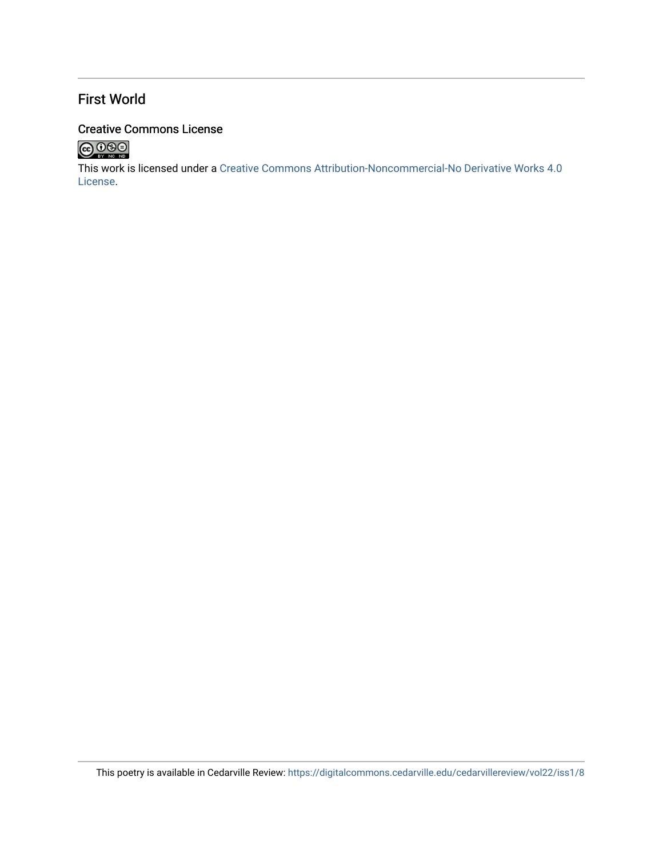## First World

### Creative Commons License



This work is licensed under a [Creative Commons Attribution-Noncommercial-No Derivative Works 4.0](http://creativecommons.org/licenses/by-nc-nd/4.0/) [License](http://creativecommons.org/licenses/by-nc-nd/4.0/).